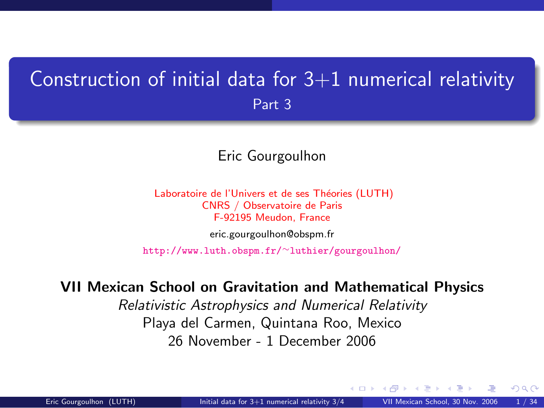### <span id="page-0-1"></span>Construction of initial data for  $3+1$  numerical relativity Part 3

#### Eric Gourgoulhon

Laboratoire de l'Univers et de ses Théories (LUTH) CNRS / Observatoire de Paris F-92195 Meudon, France [eric.gourgoulhon@obspm.fr](mailto:eric.gourgoulhon@obspm.fr)

[http://www.luth.obspm.fr/](http://www.luth.obspm.fr/~luthier/gourgoulhon/)∼luthier/gourgoulhon/

#### VII Mexican School on Gravitation and Mathematical Physics

Relativistic Astrophysics and Numerical Relativity Playa del Carmen, Quintana Roo, Mexico 26 November - 1 December 2006

<span id="page-0-0"></span> $\Omega$ 

a mills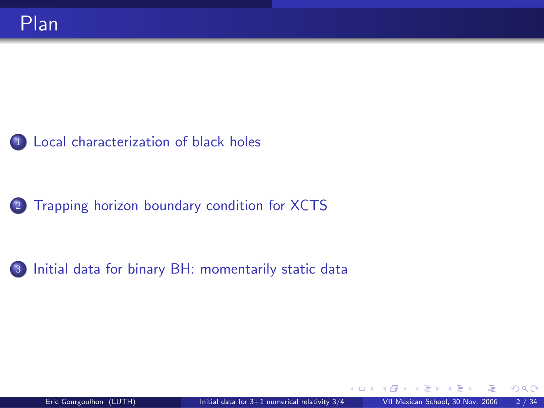#### <sup>1</sup> [Local characterization of black holes](#page-2-0)

2 [Trapping horizon boundary condition for XCTS](#page-24-0)

<sup>3</sup> [Initial data for binary BH: momentarily static data](#page-45-0)

4 0 8 1

<span id="page-1-0"></span>つへへ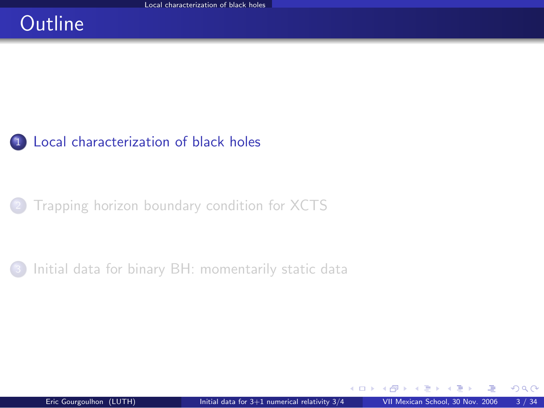# **Outline**

#### <sup>1</sup> [Local characterization of black holes](#page-2-0)

<sup>2</sup> [Trapping horizon boundary condition for XCTS](#page-24-0)

[Initial data for binary BH: momentarily static data](#page-45-0)

<span id="page-2-0"></span>4 0 8 1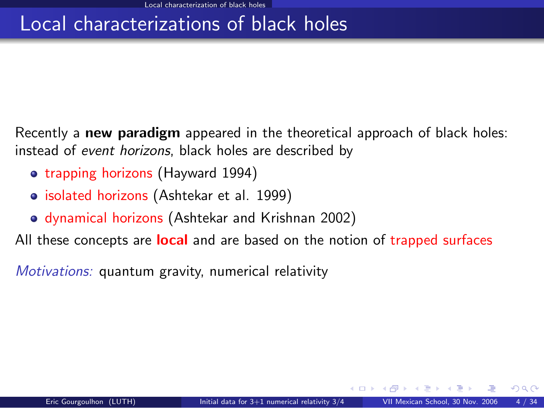# Local characterizations of black holes

Recently a new paradigm appeared in the theoretical approach of black holes: instead of event horizons, black holes are described by

- trapping horizons (Hayward 1994)
- isolated horizons (Ashtekar et al. 1999)
- dynamical horizons (Ashtekar and Krishnan 2002)

All these concepts are **local** and are based on the notion of trapped surfaces

Motivations: quantum gravity, numerical relativity

◂<del>◻▸ кฅ</del>▸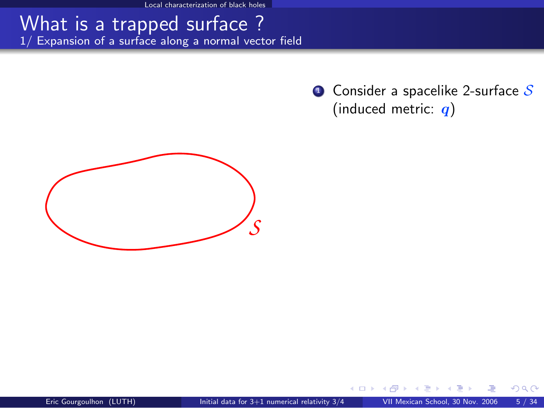Local characterization of black holes

#### What is a trapped surface ? 1/ Expansion of a surface along a normal vector field

 $\bullet$  Consider a spacelike 2-surface  $\mathcal S$ (induced metric:  $q$ )



4 0 8 1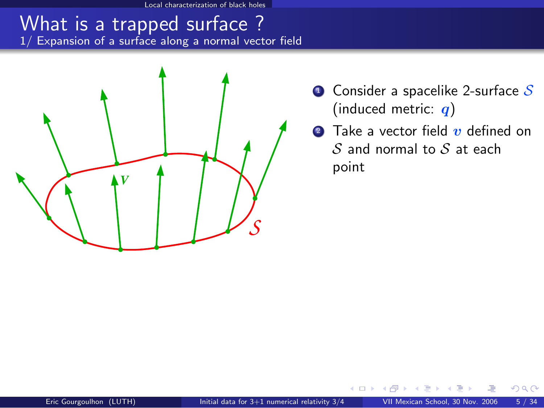Local characterization of black holes

#### What is a trapped surface ? 1/ Expansion of a surface along a normal vector field



- $\bullet$  Consider a spacelike 2-surface S (induced metric:  $q$ )
- **2** Take a vector field  $\boldsymbol{v}$  defined on  $S$  and normal to  $S$  at each point

そロト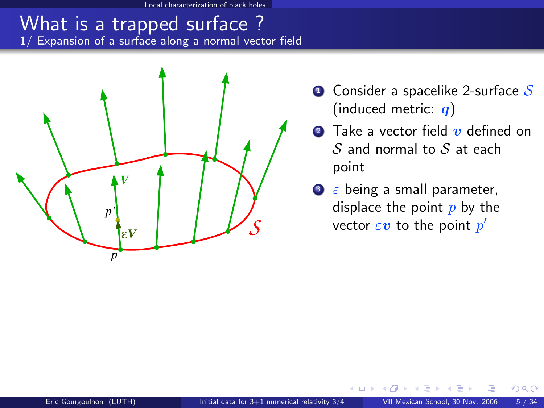al characterization of black holes

#### What is a trapped surface ? 1/ Expansion of a surface along a normal vector field



- $\bullet$  Consider a spacelike 2-surface S (induced metric:  $q$ )
- **2** Take a vector field  $\boldsymbol{v}$  defined on  $S$  and normal to  $S$  at each point
- $\bullet$   $\varepsilon$  being a small parameter, displace the point  $p$  by the vector  $\varepsilon\boldsymbol{v}$  to the point  $p'$

そロト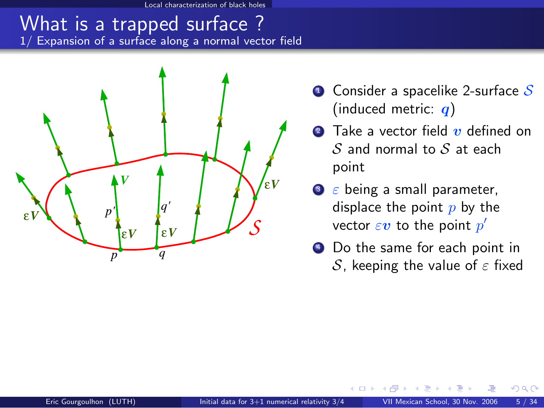al characterization of black holes

#### What is a trapped surface ? 1/ Expansion of a surface along a normal vector field



- $\bullet$  Consider a spacelike 2-surface S (induced metric:  $q$ )
- **2** Take a vector field  $\boldsymbol{v}$  defined on  $S$  and normal to  $S$  at each point
- $\bullet$   $\varepsilon$  being a small parameter, displace the point  $p$  by the vector  $\varepsilon\boldsymbol{v}$  to the point  $p'$
- <sup>4</sup> Do the same for each point in S, keeping the value of  $\varepsilon$  fixed

റെ

4 D F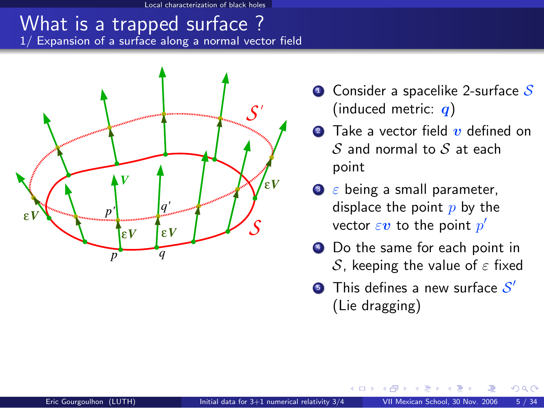Local characterization of black holes

#### What is a trapped surface ? 1/ Expansion of a surface along a normal vector field



- $\bullet$  Consider a spacelike 2-surface S (induced metric:  $q$ )
- **2** Take a vector field  $\boldsymbol{v}$  defined on  $S$  and normal to  $S$  at each point
- $\bullet$   $\varepsilon$  being a small parameter, displace the point  $p$  by the vector  $\varepsilon\boldsymbol{v}$  to the point  $p'$
- <sup>4</sup> Do the same for each point in S, keeping the value of  $\varepsilon$  fixed
- **5** This defines a new surface  $\mathcal{S}'$ (Lie dragging)

4 0 8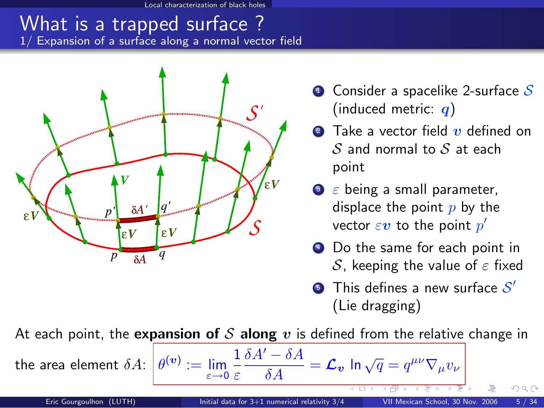characterization of black holes

#### What is a trapped surface ? 1/ Expansion of a surface along a normal vector field



- $\bullet$  Consider a spacelike 2-surface S (induced metric:  $q$ )
- **2** Take a vector field  $\boldsymbol{v}$  defined on  $S$  and normal to  $S$  at each point
- $\bullet$   $\varepsilon$  being a small parameter, displace the point  $p$  by the vector  $\varepsilon\boldsymbol{v}$  to the point  $p'$
- <sup>4</sup> Do the same for each point in S, keeping the value of  $\varepsilon$  fixed
- **5** This defines a new surface  $\mathcal{S}'$ (Lie dragging)

 $\frac{\delta A^{\prime }-\delta A}{\delta A}=\mathcal{L}_{\boldsymbol{v}}$  ln  $\sqrt{q}=q^{\mu \nu }\nabla _{\mu }v_{\nu }$ 

At each point, the expansion of  $S$  along  $v$  is defined from the relative change in

1 ε

 $\overset{(v)}{:=}\lim\limits_{\varepsilon\to 0}$ 

the area element  $\delta A$ :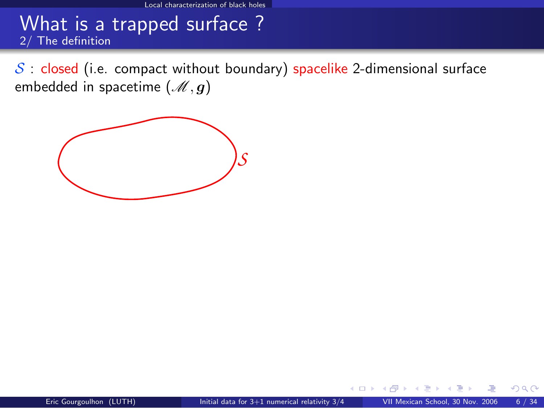$S$  : closed (i.e. compact without boundary) spacelike 2-dimensional surface embedded in spacetime  $(\mathcal{M}, g)$ 

<span id="page-10-0"></span>

4 0 8 1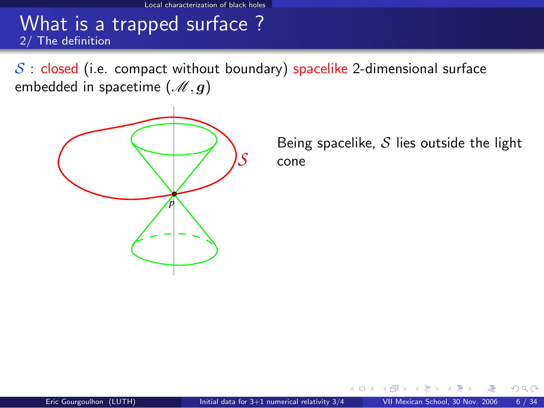$S$  : closed (i.e. compact without boundary) spacelike 2-dimensional surface embedded in spacetime  $(\mathcal{M}, g)$ 



Being spacelike,  $S$  lies outside the light cone

そロト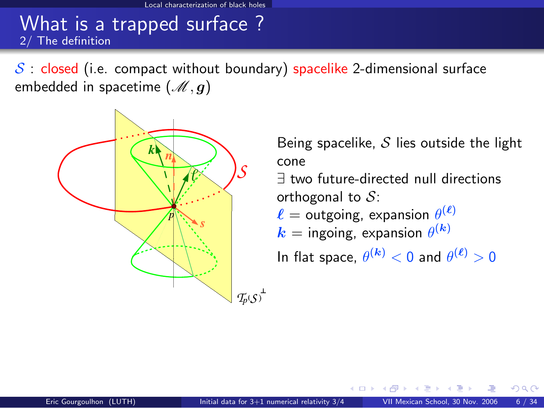$S$ : closed (i.e. compact without boundary) spacelike 2-dimensional surface embedded in spacetime  $(\mathcal{M}, q)$ 



Being spacelike,  $S$  lies outside the light cone

∃ two future-directed null directions orthogonal to  $S$ :

 $\ell =$  outgoing, expansion  $\theta^{(\ell)}$ 

$$
k =
$$
ingoing, expansion  $\theta^{(k)}$ 

In flat space,  $\theta^{(\bm{k})} < 0$  and  $\theta^{(\bm{\ell})} > 0$ 

 $\cap$   $\cap$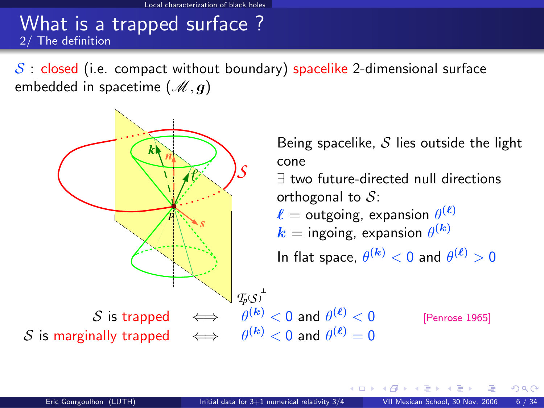$\mathcal{S}$  : closed (i.e. compact without boundary) spacelike 2-dimensional surface embedded in spacetime  $(\mathcal{M}, q)$ 



 $\cap$   $\cap$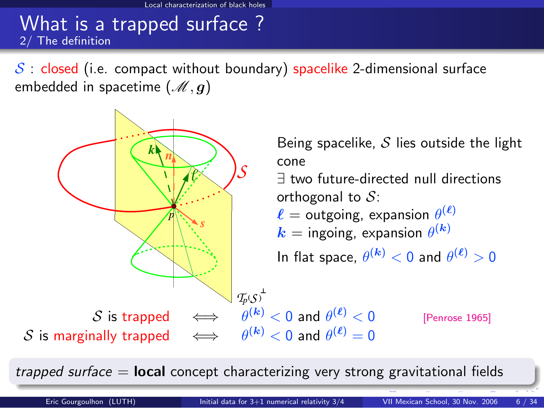$\mathcal{S}$  : closed (i.e. compact without boundary) spacelike 2-dimensional surface embedded in spacetime  $(\mathcal{M}, q)$ 



trapped surface  $=$  **local** concept characterizing very strong gravitational fields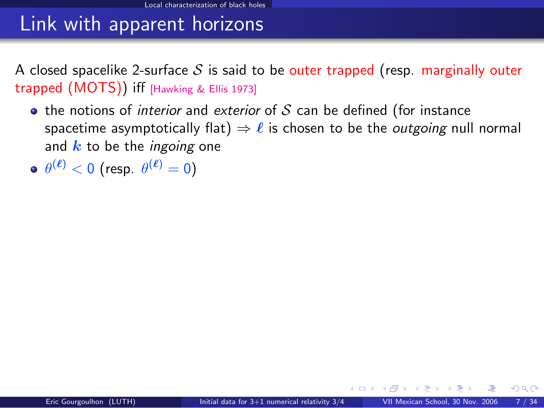# Link with apparent horizons

A closed spacelike 2-surface S is said to be outer trapped (resp. marginally outer trapped  $(MOTS)$ ) iff [\[Hawking & Ellis 1973\]](#page-0-1)

- $\bullet$  the notions of *interior* and *exterior* of S can be defined (for instance spacetime asymptotically flat)  $\Rightarrow \ell$  is chosen to be the *outgoing* null normal and  $k$  to be the *ingoing* one
- $\theta^{(\bm{\ell})} < 0$  (resp.  $\theta^{(\bm{\ell})} = 0$ )

**∢ ロ ≯ - ∢ 何**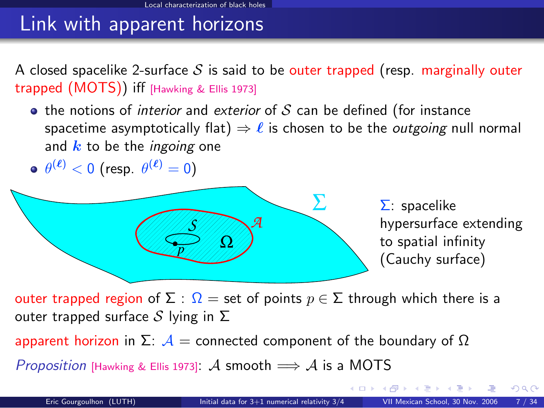# Link with apparent horizons

A closed spacelike 2-surface S is said to be outer trapped (resp. marginally outer trapped  $(MOTS)$ ) iff [\[Hawking & Ellis 1973\]](#page-0-1)

 $\bullet$  the notions of *interior* and *exterior* of S can be defined (for instance spacetime asymptotically flat)  $\Rightarrow \ell$  is chosen to be the *outgoing* null normal and  $k$  to be the *ingoing* one

$$
\bullet \ \theta^{(\ell)} < 0 \ \text{(resp. } \theta^{(\ell)} = 0\text{)}
$$



outer trapped region of  $\Sigma$ :  $\Omega =$  set of points  $p \in \Sigma$  through which there is a outer trapped surface S lying in  $\Sigma$ 

apparent horizon in Σ:  $A =$  connected component of the boundary of  $Ω$ 

Proposition [\[Hawking & Ellis 1973\]](#page-0-1): A smooth  $\implies$  A is a MOTS

 $\Omega$ 

(□ ) (何 )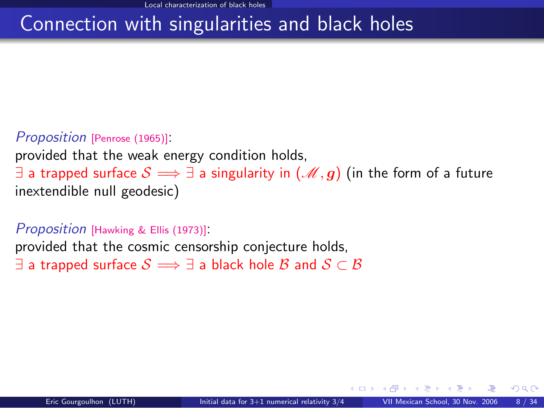# Connection with singularities and black holes

#### Proposition [\[Penrose \(1965\)\]](#page-0-1):

provided that the weak energy condition holds, ∃ a trapped surface  $S \implies \exists$  a singularity in  $(\mathcal{M}, g)$  (in the form of a future inextendible null geodesic)

#### <span id="page-17-1"></span>Proposition [\[Hawking & Ellis \(1973\)\]](#page-0-1): provided that the cosmic censorship conjecture holds,  $\exists$  a trapped surface  $\mathcal{S} \Longrightarrow \exists$  a black hole  $\mathcal{B}$  and  $\mathcal{S} \subset \mathcal{B}$

<span id="page-17-0"></span> $\cap$   $\cap$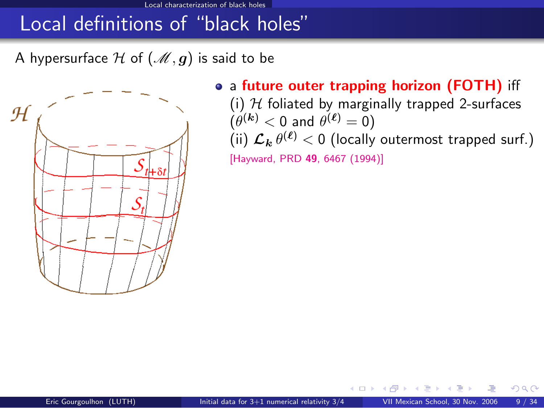A hypersurface H of  $(\mathcal{M}, g)$  is said to be



• a future outer trapping horizon (FOTH) iff

(i)  $H$  foliated by marginally trapped 2-surfaces  $(\theta^{(\bm{k})} < 0$  and  $\theta^{(\bm{\ell})} = 0)$ (ii)  $\mathcal{L}_{\bm{k}} \, \theta^{(\bm{\ell})} < 0$  (locally outermost trapped surf.)

[\[Hayward, PRD](http://link.aps.org/abstract/PRD/v49/p6467) 49, 6467 (1994)]

<span id="page-18-0"></span>∢⊡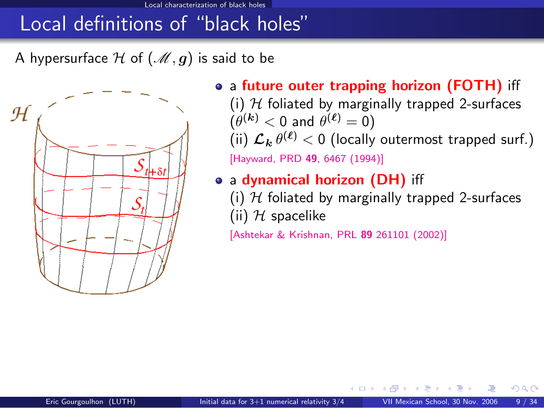#### Local characterization of black holes

#### Local definitions of "black holes"

A hypersurface H of  $(M, g)$  is said to be



• a future outer trapping horizon (FOTH) iff (i)  $H$  foliated by marginally trapped 2-surfaces  $(\theta^{(\bm{k})} < 0$  and  $\theta^{(\bm{\ell})} = 0)$ (ii)  $\mathcal{L}_{\bm{k}} \, \theta^{(\bm{\ell})} < 0$  (locally outermost trapped surf.)

[\[Hayward, PRD](http://link.aps.org/abstract/PRD/v49/p6467) 49, 6467 (1994)]

- a dynamical horizon (DH) iff
	- (i)  $H$  foliated by marginally trapped 2-surfaces (ii)  $H$  spacelike

[\[Ashtekar & Krishnan, PRL](http://link.aps.org/abstract/PRL/v89/e261101) 89 261101 (2002)]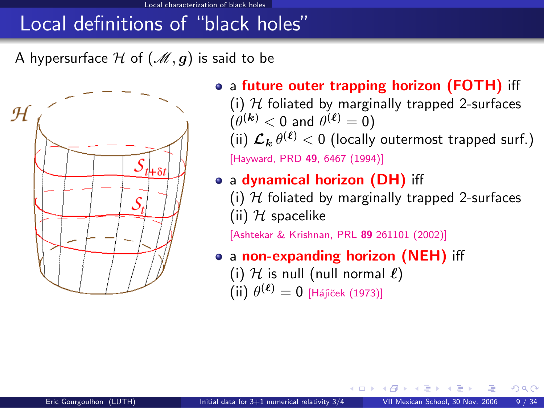A hypersurface H of  $(\mathcal{M}, g)$  is said to be



• a future outer trapping horizon (FOTH) iff (i)  $H$  foliated by marginally trapped 2-surfaces  $(\theta^{(\bm{k})} < 0$  and  $\theta^{(\bm{\ell})} = 0)$ (ii)  $\mathcal{L}_{\bm{k}} \, \theta^{(\bm{\ell})} < 0$  (locally outermost trapped surf.)

[\[Hayward, PRD](http://link.aps.org/abstract/PRD/v49/p6467) 49, 6467 (1994)]

- a dynamical horizon (DH) iff
	- (i)  $H$  foliated by marginally trapped 2-surfaces (ii)  $H$  spacelike

<span id="page-20-0"></span>[\[Ashtekar & Krishnan, PRL](http://link.aps.org/abstract/PRL/v89/e261101) 89 261101 (2002)]

- a non-expanding horizon (NEH) iff
	- (i)  $H$  is null (null normal  $\ell$ )  $(iii) \theta^{(\ell)} = 0$  [Hájiček (1973)]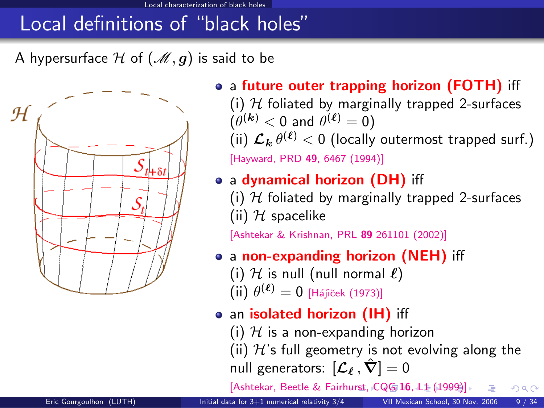A hypersurface H of  $(\mathcal{M}, g)$  is said to be



- a future outer trapping horizon (FOTH) iff (i)  $H$  foliated by marginally trapped 2-surfaces  $(\theta^{(\bm{k})} < 0$  and  $\theta^{(\bm{\ell})} = 0)$ (ii)  $\mathcal{L}_{\bm{k}} \, \theta^{(\bm{\ell})} < 0$  (locally outermost trapped surf.) [\[Hayward, PRD](http://link.aps.org/abstract/PRD/v49/p6467) 49, 6467 (1994)]
- a dynamical horizon (DH) iff
	- (i)  $H$  foliated by marginally trapped 2-surfaces (ii)  $H$  spacelike

[\[Ashtekar & Krishnan, PRL](http://link.aps.org/abstract/PRL/v89/e261101) 89 261101 (2002)]

- a non-expanding horizon (NEH) iff
	- (i)  $H$  is null (null normal  $\ell$ )
	- $(iii) \theta^{(\ell)} = 0$  [Hájiček (1973)]
- an isolated horizon (IH) iff
	- (i)  $H$  is a non-expanding horizon

(ii)  $H$ 's full geometry is not evolving along the null generators:  $[\mathcal{L}_\ell, \hat{\nabla}] = 0$ 

<span id="page-21-0"></span>[\[Ashtekar, Beetle & Fairh](http://stacks.iop.org/0264-9381/16/L1)[ur](#page-20-0)[st,](http://stacks.iop.org/0264-9381/16/L1)[C](http://stacks.iop.org/0264-9381/16/L1)[Q](#page-17-0)[G](#page-18-0) [16](#page-23-0)[,](#page-1-0) [L1](#page-2-0) [\(1](#page-24-0)[99](#page-1-0)[9](#page-2-0)[\)\]](#page-23-0)  $\Omega$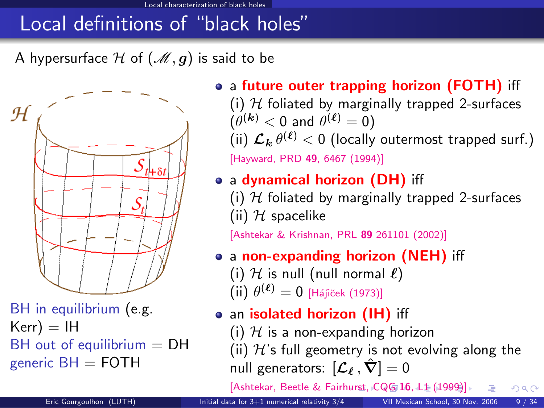A hypersurface H of  $(\mathcal{M}, g)$  is said to be



BH in equilibrium (e.g.  $Kerr$ ) = IH  $BH$  out of equilibrium  $= DH$ generic  $BH =$  FOTH

- a future outer trapping horizon (FOTH) iff (i)  $H$  foliated by marginally trapped 2-surfaces  $(\theta^{(\bm{k})} < 0$  and  $\theta^{(\bm{\ell})} = 0)$ 
	- (ii)  $\mathcal{L}_{\bm{k}} \, \theta^{(\bm{\ell})} < 0$  (locally outermost trapped surf.) [\[Hayward, PRD](http://link.aps.org/abstract/PRD/v49/p6467) 49, 6467 (1994)]
- a dynamical horizon (DH) iff
	- (i)  $H$  foliated by marginally trapped 2-surfaces (ii)  $H$  spacelike

[\[Ashtekar & Krishnan, PRL](http://link.aps.org/abstract/PRL/v89/e261101) 89 261101 (2002)]

- a non-expanding horizon (NEH) iff
	- (i)  $H$  is null (null normal  $\ell$ )  $(iii) \theta^{(\ell)} = 0$  [Hájiček (1973)]
- an isolated horizon (IH) iff
	- (i)  $H$  is a non-expanding horizon
	- (ii)  $H$ 's full geometry is not evolving along the null generators:  $[\mathcal{L}_\ell, \hat{\nabla}] = 0$

<span id="page-22-0"></span>[\[Ashtekar, Beetle & Fairh](http://stacks.iop.org/0264-9381/16/L1)[ur](#page-21-0)[st,](http://stacks.iop.org/0264-9381/16/L1)[C](http://stacks.iop.org/0264-9381/16/L1)[Q](#page-17-0)[G](#page-18-0) [16](#page-23-0)[,](#page-1-0) [L1](#page-2-0)[\(1](#page-24-0)[99](#page-1-0)[9](#page-2-0)[\)\]](#page-23-0)  $\Omega$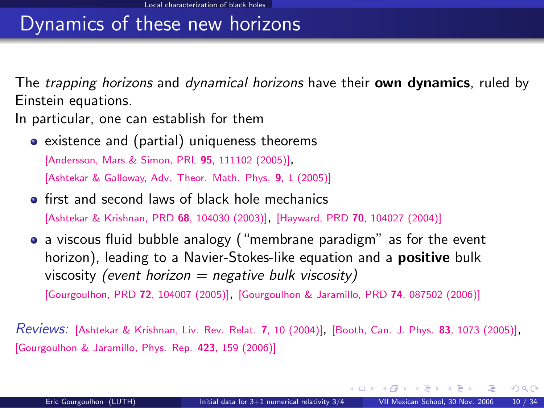### Dynamics of these new horizons

The *trapping horizons* and *dynamical horizons* have their **own dynamics**, ruled by Einstein equations.

In particular, one can establish for them

• existence and (partial) uniqueness theorems

[\[Andersson, Mars & Simon, PRL](http://link.aps.org/abstract/PRL/v95/e111102) <sup>95</sup>, 111102 (2005)],

[\[Ashtekar & Galloway, Adv. Theor. Math. Phys.](http://arxiv.org/abs/gr-qc/0503109) 9, 1 (2005)]

- **•** first and second laws of black hole mechanics [\[Ashtekar & Krishnan, PRD](http://link.aps.org/abstract/PRD/v68/e104030) <sup>68</sup>, 104030 (2003)], [Hayward, PRD <sup>70</sup>[, 104027 \(2004\)\]](http://link.aps.org/abstract/PRD/v70/e104027)
- a viscous fluid bubble analogy ("membrane paradigm" as for the event horizon), leading to a Navier-Stokes-like equation and a **positive** bulk viscosity (event horizon  $=$  negative bulk viscosity) [\[Gourgoulhon, PRD](http://link.aps.org/abstract/PRD/v72/e104007) <sup>72</sup>, 104007 (2005)], [\[Gourgoulhon & Jaramillo, PRD](http://link.aps.org/abstract/PRD/v74/e087502) <sup>74</sup>, 087502 (2006)]

Reviews: [\[Ashtekar & Krishnan, Liv. Rev. Relat.](http://www.livingreviews.org/lrr-2004-10) <sup>7</sup>, 10 (2004)], [\[Booth, Can. J. Phys.](http://arxiv.org/abs/gr-qc/0508107) <sup>83</sup>, 1073 (2005)], [\[Gourgoulhon & Jaramillo, Phys. Rep.](http://authors.elsevier.com/sd/article/S0370157305004394) 423, 159 (2006)]

<span id="page-23-0"></span>メロト メ何 トメ ミト メミト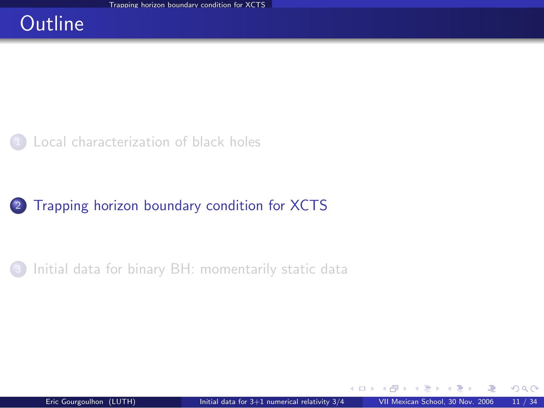#### **Outline**

#### [Local characterization of black holes](#page-2-0)

#### <sup>2</sup> [Trapping horizon boundary condition for XCTS](#page-24-0)

[Initial data for binary BH: momentarily static data](#page-45-0)

<span id="page-24-0"></span>÷. **SIL**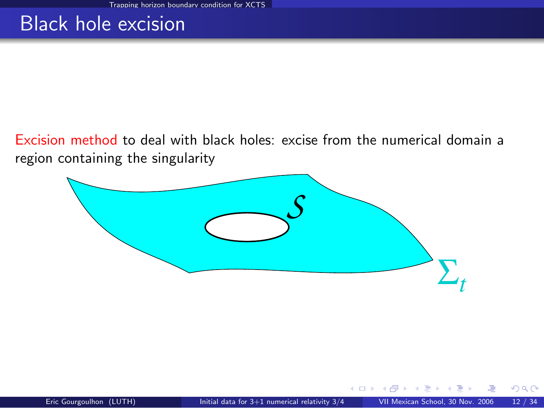#### Black hole excision

Excision method to deal with black holes: excise from the numerical domain a region containing the singularity

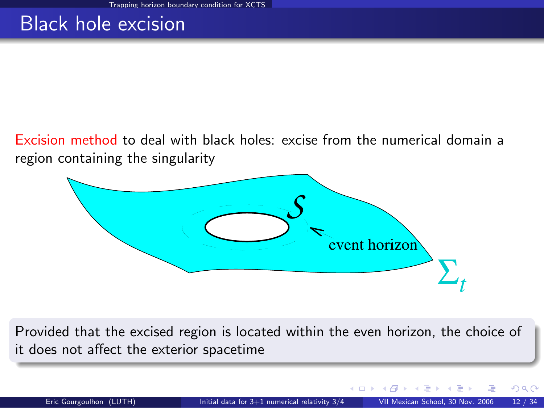## Black hole excision

Excision method to deal with black holes: excise from the numerical domain a region containing the singularity



Provided that the excised region is located within the even horizon, the choice of it does not affect the exterior spacetime

そロト

റെ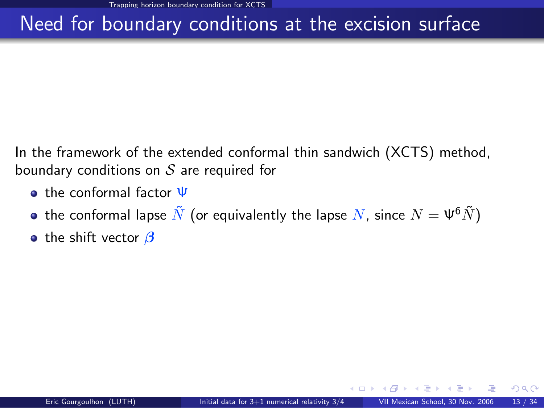# Need for boundary conditions at the excision surface

In the framework of the extended conformal thin sandwich (XCTS) method, boundary conditions on  $S$  are required for

- o the conformal factor  $\Psi$
- the conformal lapse  $\tilde{N}$  (or equivalently the lapse  $N$ , since  $N = \Psi^6 \tilde{N}$ )
- **•** the shift vector  $\beta$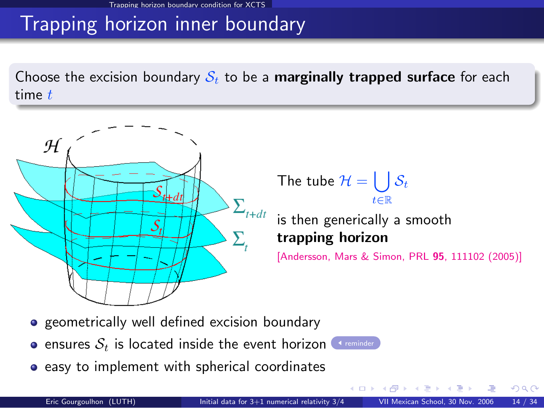# Trapping horizon inner boundary

Choose the excision boundary  $S_t$  to be a **marginally trapped surface** for each time  $t$ 



The tube  $\mathcal{H} = \begin{bmatrix} \end{bmatrix}$ t∈R  $\mathcal{S}_t$ 

is then generically a smooth trapping horizon

4. 0. 3. 4.

[\[Andersson, Mars & Simon, PRL](http://link.aps.org/abstract/PRL/v95/e111102) 95, 111102 (2005)]

- **•** geometrically well defined excision boundary
- **e** ensures  $S_t$  is located inside the event horizon [reminder](#page-17-1)
- **•** easy to implement with spherical coordinates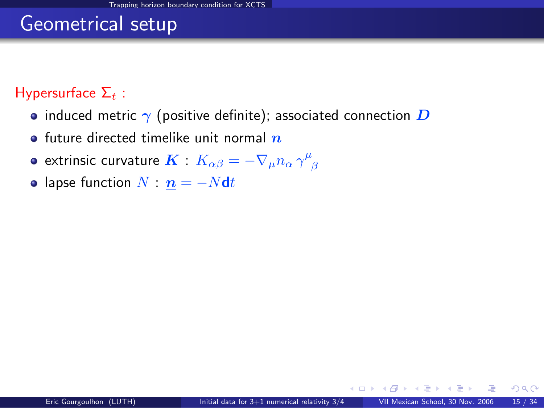### Geometrical setup

#### Hypersurface  $\Sigma_t$  :

- induced metric  $\gamma$  (positive definite); associated connection  $D$
- **•** future directed timelike unit normal  $n$
- extrinsic curvature  $\boldsymbol{K}$  :  $K_{\alpha \beta} = \nabla_{\mu} n_{\alpha} \, \gamma^{\mu}_{\,\,\,\beta}$
- lapse function  $N : n = -Ndt$

AD > - 4 E > -4 E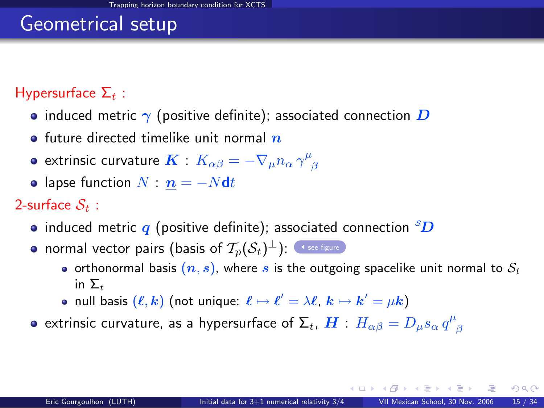## Geometrical setup

#### Hypersurface  $\Sigma_t$  :

- induced metric  $\gamma$  (positive definite); associated connection  $\bm{D}$
- **•** future directed timelike unit normal  $n$
- extrinsic curvature  $\boldsymbol{K}$  :  $K_{\alpha \beta} = \nabla_{\mu} n_{\alpha} \, \gamma^{\mu}_{\,\,\,\beta}$
- lapse function  $N : n = -Ndt$

#### 2-surface  $S_t$  :

- induced metric q (positive definite); associated connection  ${}^s\!D$
- normal vector pairs (basis of  $\mathcal{T}_p(\mathcal{S}_t)^\perp$ ):  $\lnot$  [see figure](#page-10-0)
	- orthonormal basis  $(n, s)$ , where s is the outgoing spacelike unit normal to  $S_t$ in  $\Sigma$ <sub>t</sub>
	- null basis  $(\ell, k)$  (not unique:  $\ell \mapsto \ell' = \lambda \ell, \, k \mapsto k' = \mu k)$
- extrinsic curvature, as a hypersurface of  $\mathsf{\Sigma}_t$ ,  $\bm{H}$  :  $H_{\alpha\beta}=D_\mu s_\alpha\,q^\mu_{\phantom{\mu}\beta}$

メロト メ何ト メミト メミト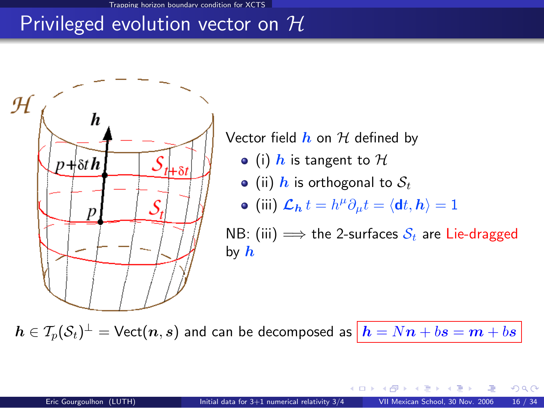# Privileged evolution vector on  $\mathcal H$



Vector field  $h$  on  $H$  defined by

- (i) h is tangent to  $H$
- (ii) h is orthogonal to  $S_t$
- (iii)  $\mathcal{L}_{h} t = h^{\mu} \partial_{\mu} t = \langle \mathbf{d} t, h \rangle = 1$

NB: (iii)  $\implies$  the 2-surfaces  $S_t$  are Lie-dragged by  $h$ 

 $\bm{h}\in \mathcal{T}_p(\mathcal{S}_t)^\perp=\text{\sf Vect}(\bm{n}, \bm{s})$  and can be decomposed as  $\big|\bm{h}=N\bm{n}+b\bm{s}=\bm{m}+b\bm{s}$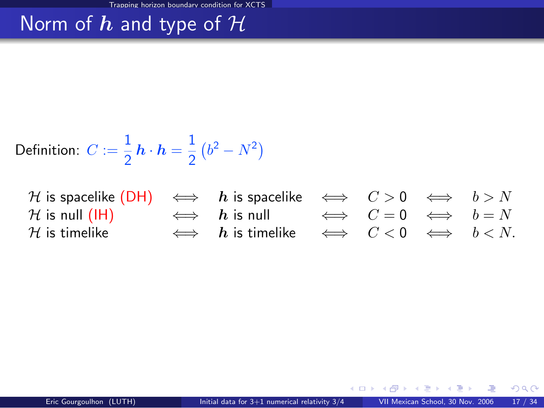# Norm of  $h$  and type of  $H$

Definition: 
$$
C := \frac{1}{2} h \cdot h = \frac{1}{2} (b^2 - N^2)
$$

| H is spacelike $(DH) \iff h$ is spacelike $\iff C > 0 \iff b > N$  |                                                |  |  |
|--------------------------------------------------------------------|------------------------------------------------|--|--|
| $\mathcal H$ is null (IH) $\iff h$ is null $\iff C = 0 \iff b = N$ |                                                |  |  |
| ${\cal H}$ is timelike                                             | $\iff h$ is timelike $\iff C < 0 \iff b < N$ . |  |  |

メロメ メ御き メミメ メミ

 $299$ 

亳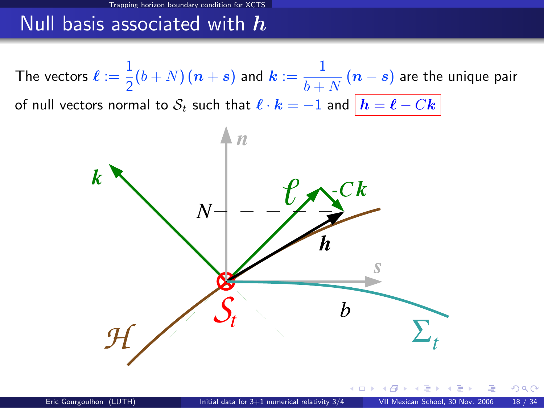#### Null basis associated with  $h$

The vectors  $\ell := \frac{1}{2}$  $\frac{1}{2}(b+N)\,(\boldsymbol{n}+\boldsymbol{s})$  and  $\boldsymbol{k}:=\frac{1}{b+1}$  $\frac{1}{b+N}$   $(n-s)$  are the unique pair of null vectors normal to  $S_t$  such that  $\ell \cdot k = -1$  and  $|h = \ell - Ck|$ 



റാ റ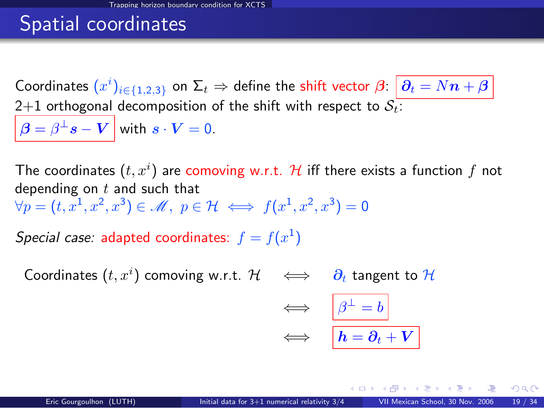# Spatial coordinates

Coordinates  $(x^i)_{i\in\{1,2,3\}}$  on  $\Sigma_t \Rightarrow$  define the shift vector  $\bm{\beta}$ :  $\bm{\ket{\partial_t=Nn+\beta}}$ 2+1 orthogonal decomposition of the shift with respect to  $S_t$ :  $\boldsymbol{\beta} = \beta^\perp \boldsymbol{s} - \boldsymbol{V} \, \big| \,$  with  $\, \boldsymbol{s} \cdot \boldsymbol{V} = 0. \,$ 

The coordinates  $(t,x^i)$  are comoving w.r.t.  ${\mathcal H}$  iff there exists a function  $f$  not depending on  $t$  and such that  $\forall p=(t,x^1,x^2,x^3)\in\mathscr{M},\,\,p\in\mathcal{H}\,\Longleftrightarrow\,f(x^1,x^2,x^3)=0$ 

Special case: adapted coordinates:  $f = f(x^1)$ 

Coordinates  $(t,x^i)$  comoving w.r.t.  $\mathcal{H} \quad \Longleftrightarrow \quad \bm{\partial}_t$  tangent to  $\mathcal{H}$ 

<span id="page-34-0"></span>
$$
\iff \quad \boxed{\beta^{\perp} = b}
$$
  

$$
\iff \quad \boxed{h = \partial_t + V}
$$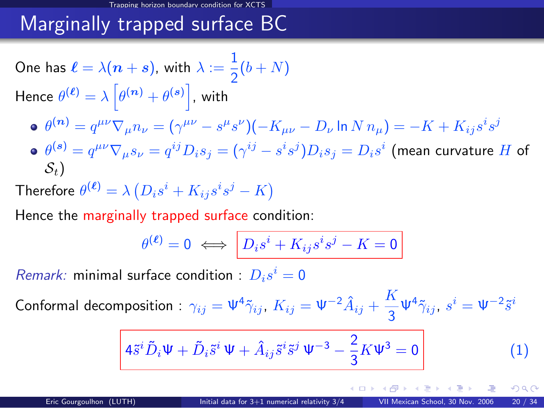# Marginally trapped surface BC

One has 
$$
\ell = \lambda(n + s)
$$
, with  $\lambda := \frac{1}{2}(b + N)$   
\nHence  $\theta^{(\ell)} = \lambda \left[\theta^{(n)} + \theta^{(s)}\right]$ , with  
\n•  $\theta^{(n)} = q^{\mu\nu}\nabla_{\mu}n_{\nu} = (\gamma^{\mu\nu} - s^{\mu}s^{\nu})(-K_{\mu\nu} - D_{\nu}\ln N n_{\mu}) = -K + K_{ij}s^{i}s^{j}$   
\n•  $\theta^{(s)} = q^{\mu\nu}\nabla_{\mu}s_{\nu} = q^{ij}D_{i}s_{j} = (\gamma^{ij} - s^{i}s^{j})D_{i}s_{j} = D_{i}s^{i}$  (mean curvature H of  $S_{t}$ )

Therefore  $\theta^{(\bm{\ell})} = \lambda\left(D_is^i + K_{ij}s^is^j - K\right)$ 

Hence the marginally trapped surface condition:

$$
\theta^{(\ell)} = 0 \iff D_i s^i + K_{ij} s^i s^j - K = 0
$$

Remark: minimal surface condition :  $D_i s^i = 0$ 

Conformal decomposition :  $\gamma_{ij}=\Psi^4\tilde{\gamma}_{ij}$ ,  $K_{ij}=\Psi^{-2}\hat{A}_{ij}+\frac{K}{2}$  $\frac{\kappa}{3}\Psi^4\tilde{\gamma}_{ij},\;s^i=\Psi^{-2}\tilde{s}^i$ 

$$
\left| 4\tilde{s}^i \tilde{D}_i \Psi + \tilde{D}_i \tilde{s}^i \Psi + \hat{A}_{ij} \tilde{s}^i \tilde{s}^j \Psi^{-3} - \frac{2}{3} K \Psi^3 = 0 \right| \tag{1}
$$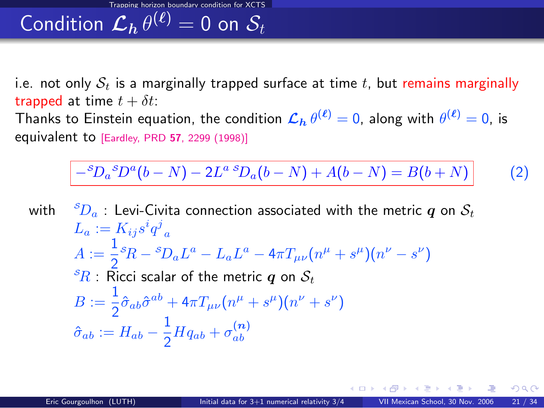Condition  $\mathcal{L}_h\,\theta^{(\ell)}=0$  on  $\mathcal{S}_t$ 

i.e. not only  $S_t$  is a marginally trapped surface at time t, but remains marginally trapped at time  $t + \delta t$ : Thanks to Einstein equation, the condition  $\mathcal{L}_h\,\theta^{(\ell)}=0$ , along with  $\theta^{(\ell)}=0$ , is

equivalent to [Eardley, PRD <sup>57</sup>[, 2299 \(1998\)\]](http://link.aps.org/abstract/PRD/v57/p2299)

<span id="page-36-0"></span>
$$
-{}^{S}D_{a}{}^{S}D^{a}(b-N) - 2L^{a}{}^{S}D_{a}(b-N) + A(b-N) = B(b+N)
$$
 (2)

with  ${}^S D_a$ : Levi-Civita connection associated with the metric q on  $S_t$  $L_a := K_{ij} s^i q^j{}_a$  $A := \frac{1}{2}$  $\frac{1}{2} {}^{\cal S} \! R - {}^{\cal S}\! D_a L^a - L_a L^a - 4\pi T_{\mu\nu}\big(n^\mu + s^\mu\big)\!\big(n^\nu - s^\nu\big)$  ${}^s\! R$  : Ricci scalar of the metric q on  $S_t$  $B:=\frac{1}{2}$  $\frac{1}{2}\hat{\sigma}_{ab}\hat{\sigma}^{ab}+4\pi T_{\mu\nu}\left(n^{\mu}+s^{\mu}\right)\left(n^{\nu}+s^{\nu}\right)$  $\hat{\sigma}_{ab} := H_{ab} - \frac{1}{2}$  $\frac{1}{2}Hq_{ab} + \sigma_{ab}^{(n)}$ ab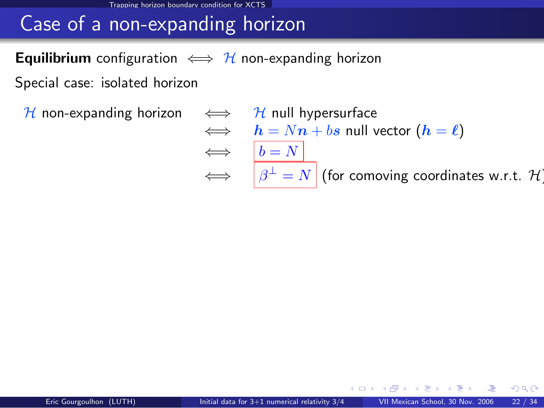#### <span id="page-37-0"></span>Trapping horizon boundary condition for XCTS

# Case of a non-expanding horizon

#### **Equilibrium** configuration  $\iff$  H non-expanding horizon

Special case: isolated horizon

H non-expanding horizon  $\iff$  H null hypersurface  $\iff h = Nn + bs$  null vector  $(h = \ell)$  $\iff$   $b = N$  $\iff \quad |\beta^{\perp} = N|$  (for [comoving coordinates w.r.t.](#page-34-0)  $\mathcal{H}_1$ )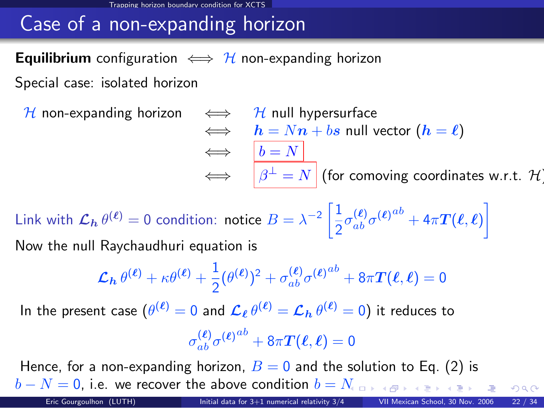#### Trapping horizon boundary condition for XCTS

# Case of a non-expanding horizon

#### **Equilibrium** configuration  $\iff$  H non-expanding horizon

Special case: isolated horizon

 $H$  non-expanding horizon

$$
\iff \begin{array}{ll}\n\text{At null hypersurface} \\
\iff & h = Nn + bs \text{ null vector } (h = \ell) \\
\iff & b = N \\
\iff & \beta^{\perp} = N \text{ (for comoving coordinates w.r.t. } \mathcal{H})\n\end{array}
$$

Link with  $\mathcal{L}_{\mathbf{h}} \, \theta^{(\ell)} = 0$  condition: notice  $B = \lambda^{-2} \left[ \frac{1}{2} \right]$  $\left[ \frac{1}{2} \sigma^{(\bm{\ell})}_{ab} \sigma^{(\bm{\ell}) \, ab} + 4 \pi \bm{T}(\bm{\ell}, \bm{\ell}) \right]$ Now the null Raychaudhuri equation is

$$
\mathcal{L}_h \theta^{(\ell)} + \kappa \theta^{(\ell)} + \frac{1}{2} (\theta^{(\ell)})^2 + \sigma_{ab}^{(\ell)} \sigma^{(\ell)}{}^{ab} + 8\pi T(\ell, \ell) = 0
$$
  
In the present case  $(\theta^{(\ell)} = 0$  and  $\mathcal{L}_\ell \theta^{(\ell)} = \mathcal{L}_h \theta^{(\ell)} = 0)$  it reduces to  

$$
\sigma_{ab}^{(\ell)} \sigma^{(\ell)}{}^{ab} + 8\pi T(\ell, \ell) = 0
$$

Hence, for a non-expanding horizon,  $B = 0$  and the solution to Eq. [\(2\)](#page-36-0) is  $b - N = 0$  $b - N = 0$  $b - N = 0$ , i.e. we recover the above condition  $b = N_{\text{max}}$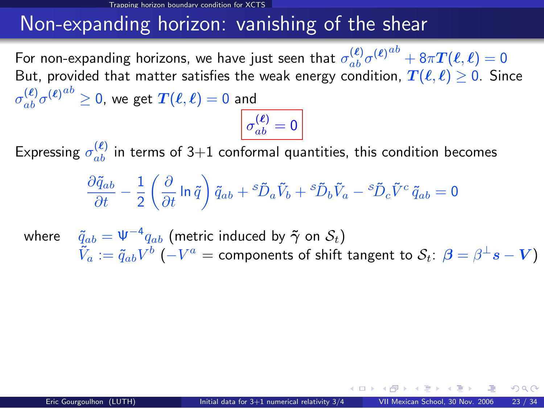# Non-expanding horizon: vanishing of the shear

For non-expanding horizons, we have just seen that  $\sigma^{(\ell)}_{ab}\sigma^{(\ell)}{}^{ab}+8\pi \bm{T}(\ell,\ell)=0$ But, provided that matter satisfies the weak energy condition,  $T(\ell, \ell) \geq 0$ . Since  $\sigma_{ab}^{(\boldsymbol{\ell})}\sigma^{(\boldsymbol{\ell})}{}^{ab}\geq 0$ , we get  $\boldsymbol{T}(\boldsymbol{\ell},\boldsymbol{\ell})=0$  and

# $\sigma_{ab}^{(\bm{\ell})}=0$

Expressing  $\sigma_{ab}^{(\ell)}$  in terms of 3+1 conformal quantities, this condition becomes

$$
\frac{\partial \tilde{q}_{ab}}{\partial t} - \frac{1}{2} \left( \frac{\partial}{\partial t} \ln \tilde{q} \right) \tilde{q}_{ab} + {^s\tilde{D}_a \tilde{V}_b} + {^s\tilde{D}_b \tilde{V}_a} - {^s\tilde{D}_c \tilde{V}^c \, \tilde{q}_{ab}} = 0
$$

where  $\quad \tilde q_{ab} = \Psi^{-4} q_{ab}$  (metric induced by  $\boldsymbol{\tilde\gamma}$  on  $\mathcal{S}_t)$  $\tilde{V}_a:=\tilde{q}_{ab}V^b \ (-V^a=$  components of shift tangent to  $\mathcal{S}_t\colon\bm{\beta}=\beta^\perp s-V)$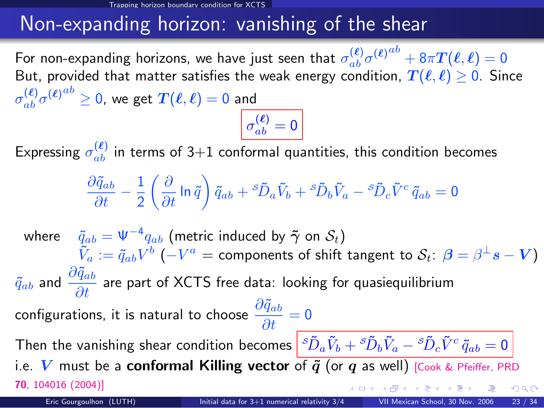# Non-expanding horizon: vanishing of the shear

For non-expanding horizons, we have just seen that  $\sigma^{(\ell)}_{ab}\sigma^{(\ell)}{}^{ab}+8\pi \bm{T}(\ell,\ell)=0$ But, provided that matter satisfies the weak energy condition,  $T(\ell, \ell) \geq 0$ . Since  $\sigma_{ab}^{(\boldsymbol{\ell})}\sigma^{(\boldsymbol{\ell})}{}^{ab}\geq 0$ , we get  $\boldsymbol{T}(\boldsymbol{\ell},\boldsymbol{\ell})=0$  and

 $\sigma_{ab}^{(\bm{\ell})}=0$ 

Expressing  $\sigma_{ab}^{(\ell)}$  in terms of 3+1 conformal quantities, this condition becomes

$$
\frac{\partial \tilde{q}_{ab}}{\partial t}-\frac{1}{2}\left(\frac{\partial}{\partial t}\ln\tilde{q}\right)\tilde{q}_{ab}+{^s\tilde{D}_a\tilde{V}_b}+{^s\tilde{D}_b\tilde{V}_a}-{^s\tilde{D}_c\tilde{V}^c\,\tilde{q}_{ab}}=0
$$

where  $\quad \tilde q_{ab} = \Psi^{-4} q_{ab}$  (metric induced by  $\boldsymbol{\tilde\gamma}$  on  $\mathcal{S}_t)$  $\tilde{V}_a:=\tilde{q}_{ab}V^b \ (-V^a=$  components of shift tangent to  $\mathcal{S}_t\colon\bm{\beta}=\beta^\perp s-V)$  $\tilde{q}_{ab}$  and  $\frac{\partial \tilde{q}_{ab}}{\partial t}$  are part of XCTS free data: looking for quasiequilibrium configurations, it is natural to choose  $\displaystyle{\frac{\partial \tilde{q}_{ab}}{\partial t}=0}$ Then the vanishing shear condition becomes  $\left| \, {}^s\tilde D_a\tilde V_b+{}^s\tilde D_b\tilde V_a- {}^s\tilde D_c\tilde V^c\, \tilde q_{ab}=0 \right.$ i.e. V must be a conformal Killing vector of  $\tilde{q}$  (or q as well) [\[Cook & Pfeiffer, PRD](http://link.aps.org/abstract/PRD/v70/e104016) 70[, 104016 \(2004\)\]](http://link.aps.org/abstract/PRD/v70/e104016)  $\Omega$ Eric Gourgoulhon (LUTH) [Initial data for 3+1 numerical relativity 3/4](#page-0-0) VII Mexican School, 30 Nov. 2006 23 / 34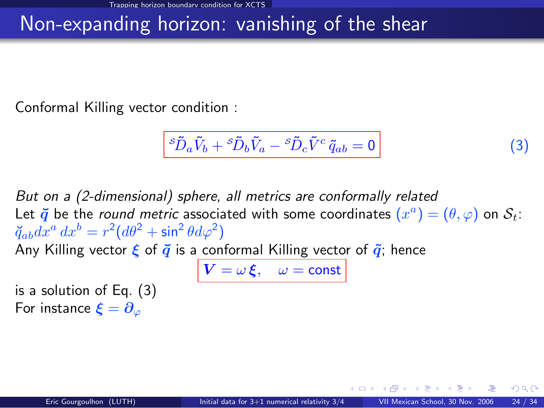# Non-expanding horizon: vanishing of the shear

Conformal Killing vector condition :

<span id="page-41-0"></span>
$$
{}^s\tilde{D}_a\tilde{V}_b+{}^s\tilde{D}_b\tilde{V}_a-{}^s\tilde{D}_c\tilde{V}^c\,\tilde{q}_{ab}=0\tag{3}
$$

But on a (2-dimensional) sphere, all metrics are conformally related Let  $\vec{q}$  be the *round metric* associated with some coordinates  $(x^a)=(\theta,\varphi)$  on  $\mathcal{S}_t$ :  $\breve{q}_{ab}dx^{a} dx^{b} = r^{2}(d\theta^{2} + \sin^{2}{\theta}d\varphi^{2})$ Any Killing vector  $\xi$  of  $\overline{q}$  is a conformal Killing vector of  $\tilde{q}$ ; hence  $V = \omega \xi$ ,  $\omega = \text{const}$ is a solution of Eq. [\(3\)](#page-41-0)

For instance  $\boldsymbol{\xi} = \boldsymbol{\partial}_{\varphi}$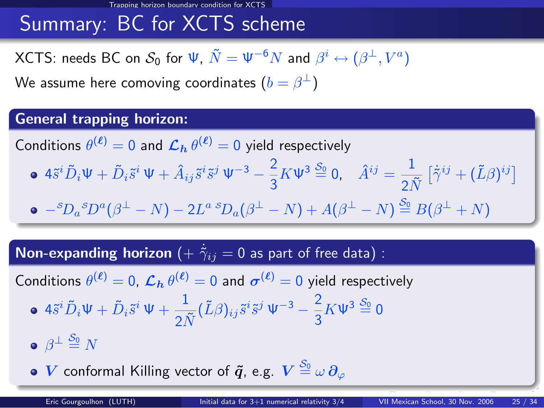# Summary: BC for XCTS scheme

<code>XCTS:</code> needs BC on  $\mathcal{S}_0$  for  $\Psi, \, \tilde{N} = \Psi^{-6} N$  and  $\beta^i \leftrightarrow (\beta^\perp, V^a)$ 

We assume here comoving coordinates  $(b=\beta^\perp)$ 

#### General trapping horizon:

Conditions  $\theta^{(\ell)}=0$  and  $\mathcal{L}_h \theta^{(\ell)}=0$  yield respectively

 $4\tilde{s}^i \tilde{D}_i \Psi + \tilde{D}_i \tilde{s}^i \Psi + \hat{A}_{ij} \tilde{s}^i \tilde{s}^j \Psi^{-3} - \frac{2}{3}$  $\frac{2}{3}K \Psi^3 \stackrel{S_0}{=} 0$ ,  $\hat{A}^{ij} = \frac{1}{2I}$  $\frac{1}{2\tilde{N}}\left[\dot{\tilde{\gamma}}^{ij}+(\tilde{L}\beta)^{ij}\right]$  $-{}^{\mathcal{S}}\!{D}_{a}{}^{\mathcal{S}}D^{a}(\beta^{\perp}-N)-2L^{a} \, {}^{\mathcal{S}}\!{D}_{a}(\beta^{\perp}-N)+A(\beta^{\perp}-N) \stackrel{\mathcal{S}_{0}}{=} B(\beta^{\perp}+N)$ 

 $\textsf{Non-expanding horizon } (+\ \dot{\tilde{\gamma}}_{ij} = 0$  as part of free data) :

Conditions  $\theta^{(\ell)}=0$ ,  $\mathcal{L}_h\,\theta^{(\ell)}=0$  and  $\sigma^{(\ell)}=0$  yield respectively

$$
\bullet \ 4\tilde{s}^{i}\tilde{D}_{i}\Psi + \tilde{D}_{i}\tilde{s}^{i}\Psi + \frac{1}{2\tilde{N}}(\tilde{L}\beta)_{ij}\tilde{s}^{i}\tilde{s}^{j}\Psi^{-3} - \frac{2}{3}K\Psi^{3}\stackrel{S_{0}}{=} 0
$$

 $\beta^{\perp} \overset{\mathcal{S}_0}{=} N$ 

 $\boldsymbol{V}$  conformal Killing vector of  $\boldsymbol{\tilde q}$ , e.g.  $\boldsymbol{V} \stackrel{\mathcal{S}_0}{=} \omega \,\boldsymbol{\partial}_\varphi$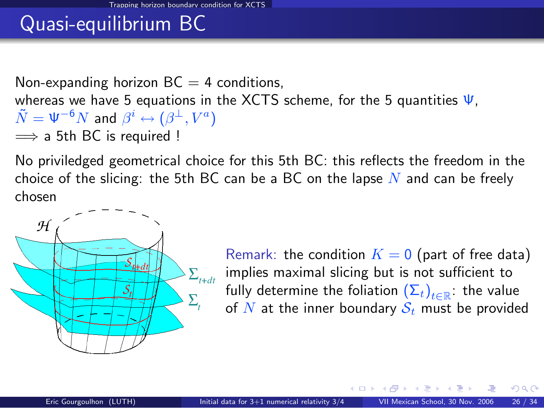# Quasi-equilibrium BC

Non-expanding horizon  $BC = 4$  conditions, whereas we have 5 equations in the XCTS scheme, for the 5 quantities  $\Psi$ .  $\tilde{N}=\Psi^{-6}N$  and  $\beta^i\leftrightarrow (\beta^\perp,V^a)$  $\implies$  a 5th BC is required !

No priviledged geometrical choice for this 5th BC: this reflects the freedom in the choice of the slicing: the 5th BC can be a BC on the lapse  $N$  and can be freely chosen



Remark: the condition  $K = 0$  (part of free data) implies maximal slicing but is not sufficient to fully determine the foliation  $\left(\Sigma_t\right)_{t\in\mathbb{R}}$ : the value of N at the inner boundary  $S_t$  must be provided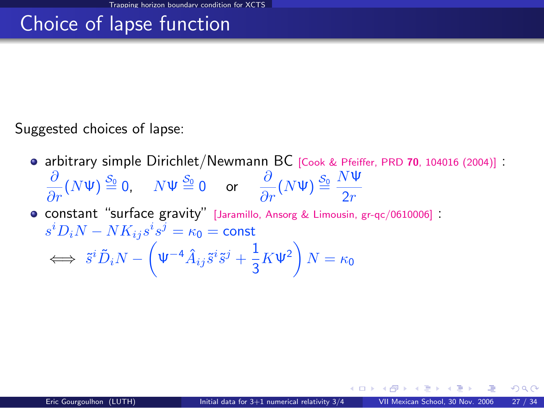# Choice of lapse function

Suggested choices of lapse:

- arbitrary simple Dirichlet/Newmann BC [\[Cook & Pfeiffer, PRD](http://link.aps.org/abstract/PRD/v70/e104016) 70, 104016 (2004)] :
	- $\frac{\partial}{\partial r}(N\Psi) \stackrel{S_0}{=} 0$ ,  $N\Psi \stackrel{S_0}{=} 0$  or  $\frac{\partial}{\partial r}(N\Psi) \stackrel{S_0}{=} \frac{N\Psi}{2r}$  $2r$
- <span id="page-44-0"></span>constant "surface gravity" [\[Jaramillo, Ansorg & Limousin, gr-qc/0610006\]](http://arxiv.org/abs/gr-qc/0610006) :  $s^i D_i N - N K_{ij} s^i s^j = \kappa_0 = \mathsf{const}$  $\Leftrightarrow \ \tilde s^i \tilde D_i N - \left( \Psi^{-4} \hat A_{ij} \tilde s^i \tilde s^j + \frac{1}{2} \right)$  $\frac{1}{3}K \Psi^2\bigg) N = \kappa_0$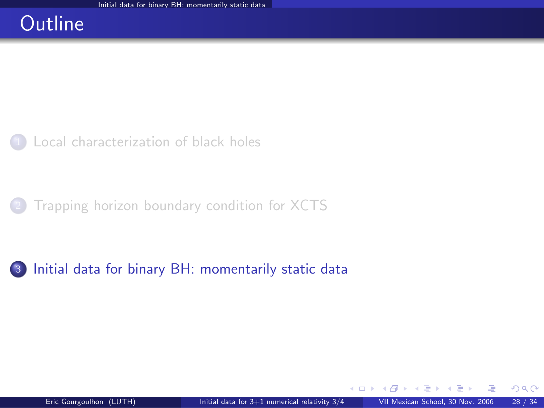### **Outline**

[Local characterization of black holes](#page-2-0)

<sup>2</sup> [Trapping horizon boundary condition for XCTS](#page-24-0)

<span id="page-45-0"></span><sup>3</sup> [Initial data for binary BH: momentarily static data](#page-45-0)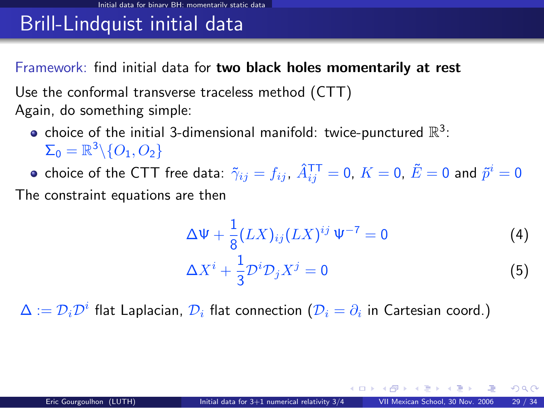Framework: find initial data for two black holes momentarily at rest

Use the conformal transverse traceless method (CTT) Again, do something simple:

- choice of the initial 3-dimensional manifold: twice-punctured  $\mathbb{R}^3$ :  $\Sigma_0 = \mathbb{R}^3 \backslash \{O_1,O_2\}$
- choice of the CTT free data:  $\tilde \gamma_{ij}=f_{ij}$ ,  $\hat A^{\mathsf{T} \mathsf{T}}_{ij}=0$ ,  $K=0$ ,  $\tilde E=0$  and  $\tilde p^i=0$

The constraint equations are then

$$
\Delta \Psi + \frac{1}{8} (LX)_{ij} (LX)^{ij} \Psi^{-7} = 0
$$
\n
$$
\Delta X^i + \frac{1}{3} \mathcal{D}^i \mathcal{D}_j X^j = 0
$$
\n(4)

 $\Delta:=\mathcal{D}_i\mathcal{D}^i$  flat Laplacian,  $\mathcal{D}_i$  flat connection  $(\mathcal{D}_i=\partial_i$  in Cartesian coord.)

<span id="page-46-1"></span><span id="page-46-0"></span> $4.11 \times 4.41 \times 4.71 \times 4.71$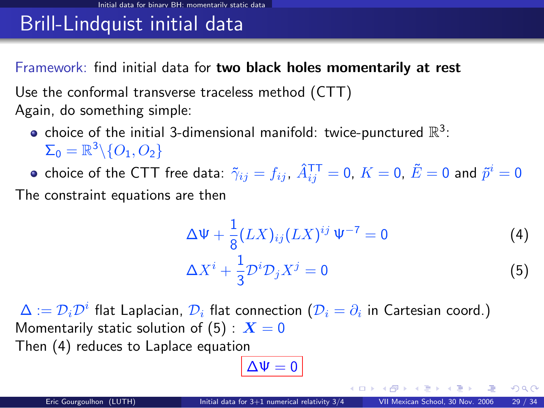Framework: find initial data for two black holes momentarily at rest

Use the conformal transverse traceless method (CTT) Again, do something simple:

- choice of the initial 3-dimensional manifold: twice-punctured  $\mathbb{R}^3$ :  $\Sigma_0 = \mathbb{R}^3 \backslash \{O_1,O_2\}$
- choice of the CTT free data:  $\tilde \gamma_{ij}=f_{ij}$ ,  $\hat A^{\mathsf{T} \mathsf{T}}_{ij}=0$ ,  $K=0$ ,  $\tilde E=0$  and  $\tilde p^i=0$

The constraint equations are then

$$
\Delta \Psi + \frac{1}{8} (LX)_{ij} (LX)^{ij} \Psi^{-7} = 0
$$
\n
$$
\Delta X^{i} + \frac{1}{3} \mathcal{D}^{i} \mathcal{D}_{j} X^{j} = 0
$$
\n(4)

 $\Delta:=\mathcal{D}_i\mathcal{D}^i$  flat Laplacian,  $\mathcal{D}_i$  flat connection  $(\mathcal{D}_i=\partial_i$  in Cartesian coord.) Momentarily static solution of [\(5\)](#page-46-0) :  $X = 0$ Then [\(4\)](#page-46-1) reduces to Laplace equation

$$
\Delta \Psi = 0
$$

メロト メ何ト メミト メミト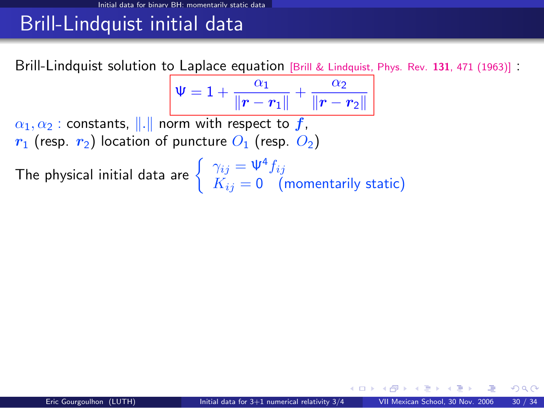Brill-Lindquist solution to Laplace equation [\[Brill & Lindquist, Phys. Rev.](http://link.aps.org/abstract/PR/v131/p471) <sup>131</sup>, 471 (1963)] :

$$
\Psi = 1 + \frac{\alpha_1}{\|\bm{r} - \bm{r}_1\|} + \frac{\alpha_2}{\|\bm{r} - \bm{r}_2\|}
$$

 $\alpha_1, \alpha_2$ : constants, ||.|| norm with respect to f,  $r_1$  (resp.  $r_2$ ) location of puncture  $O_1$  (resp.  $O_2$ )

The physical initial data are  $\left\{\begin{array}{l} \gamma_{ij}=\Psi^4f_{ij} \ \hbox{$V^\prime$} = 0 \end{array}\right.$  $K_{ij} = \mathsf{0} \quad \text{(momentarily static)}$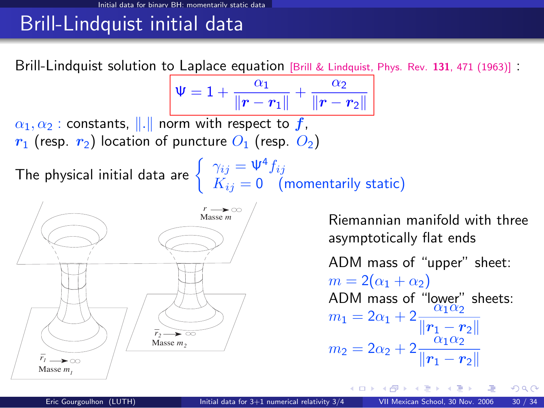Brill-Lindquist solution to Laplace equation [\[Brill & Lindquist, Phys. Rev.](http://link.aps.org/abstract/PR/v131/p471) <sup>131</sup>, 471 (1963)] :

$$
\Psi = 1 + \frac{\alpha_1}{\|\bm{r} - \bm{r}_1\|} + \frac{\alpha_2}{\|\bm{r} - \bm{r}_2\|}
$$

 $\alpha_1, \alpha_2$ : constants, ||.|| norm with respect to f,  $r_1$  (resp.  $r_2$ ) location of puncture  $O_1$  (resp.  $O_2$ )

The physical initial data are  $\left\{\begin{array}{l} \gamma_{ij}=\Psi^4f_{ij} \ \hbox{$V^\prime$} = 0 \end{array}\right.$ 



Riemannian manifold with three asymptotically flat ends

ADM mass of "upper" sheet:  $m = 2(\alpha_1 + \alpha_2)$ ADM mass of "lower" sheets:<br>  $m_1 = 2\alpha_1 + 2 \frac{\alpha_1 \alpha_2}{\|\mathbf{r}_1 - \mathbf{r}_2\|}$ <br>  $m_2 = 2\alpha_2 + 2 \frac{\alpha_1 \alpha_2}{\|\mathbf{r}_1 - \mathbf{r}_2\|}$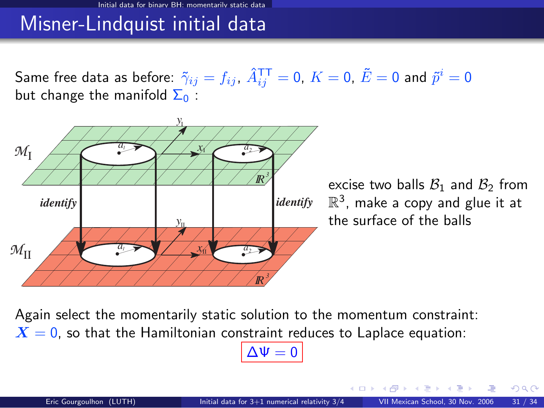#### Misner-Lindquist initial data

Same free data as before:  $\tilde \gamma_{ij}=f_{ij},\ \hat A^{\mathsf{T}\mathsf{T}}_{ij}=0,\ K=0,\ \tilde E=0$  and  $\tilde p^i=0$ but change the manifold  $\Sigma_0$ :



excise two balls  $B_1$  and  $B_2$  from  $\mathbb{R}^3$ , make a copy and glue it at the surface of the balls

 $\Omega$ 

Again select the momentarily static solution to the momentum constraint:  $X = 0$ , so that the Hamiltonian constraint reduces to Laplace equation:

#### $\Delta \Psi = 0$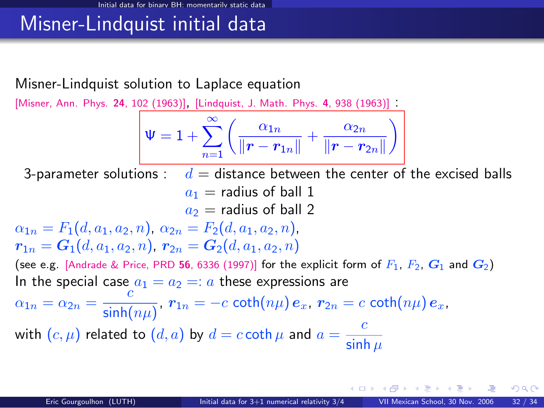#### Misner-Lindquist initial data

#### Misner-Lindquist solution to Laplace equation

[\[Misner, Ann. Phys.](#page-0-1) <sup>24</sup>, 102 (1963)], [\[Lindquist, J. Math. Phys.](#page-0-1) <sup>4</sup>, 938 (1963)] :

$$
\boxed{\mathsf{W}=1+\sum_{n=1}^\infty\left(\frac{\alpha_{1n}}{\|\bm{r}-\bm{r}_{1n}\|}+\frac{\alpha_{2n}}{\|\bm{r}-\bm{r}_{2n}\|}\right)}
$$

3-parameter solutions :  $d =$  distance between the center of the excised balls  $a_1$  = radius of ball 1  $a_2$  = radius of ball 2  $\alpha_{1n} = F_1(d, a_1, a_2, n), \ \alpha_{2n} = F_2(d, a_1, a_2, n),$  $r_{1n} = G_1(d, a_1, a_2, n), r_{2n} = G_2(d, a_1, a_2, n)$ 

(see e.g. [\[Andrade & Price, PRD](#page-0-1) 56, 6336 (1997)] for the explicit form of  $F_1$ ,  $F_2$ ,  $G_1$  and  $G_2$ ) In the special case  $a_1 = a_2 =: a$  these expressions are

$$
\alpha_{1n}=\alpha_{2n}=\frac{c}{\sinh(n\mu)},\ r_{1n}=-c\,\coth(n\mu)\,e_x,\ r_{2n}=c\,\coth(n\mu)\,e_x,
$$

with  $(c, \mu)$  related to  $(d, a)$  by  $d = c \coth \mu$  and  $a = \frac{c}{d+1}$ sinh  $\mu$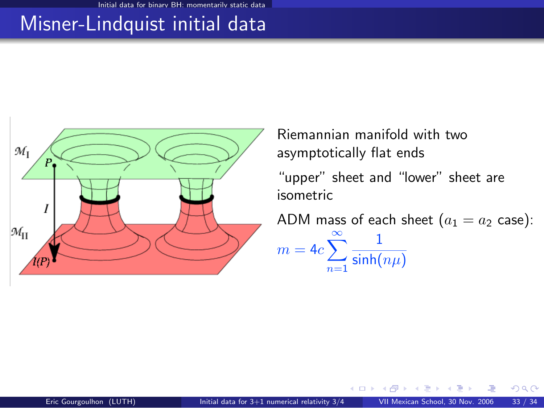## Misner-Lindquist initial data



Riemannian manifold with two asymptotically flat ends

"upper" sheet and "lower" sheet are isometric

ADM mass of each sheet  $(a_1 = a_2 \text{ case})$ :  $m = 4c\sum_{n=1}^{\infty}$ 1  $\mathsf{sinh}(n\mu)$ 

<span id="page-52-0"></span> $\Omega$ 

 $n=1$